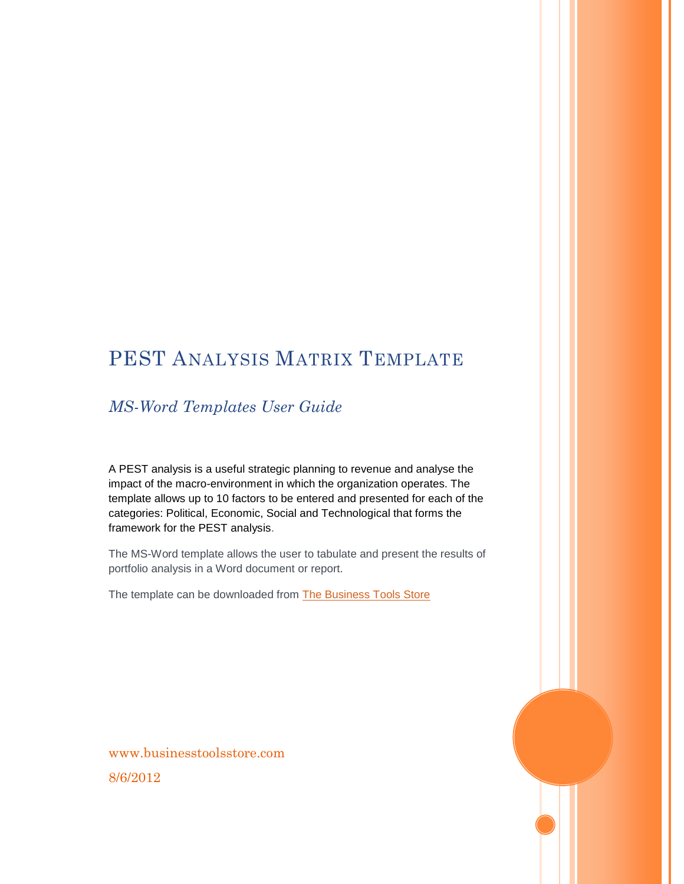## PEST ANALYSIS MATRIX TEMPLATE

#### *MS-Word Templates User Guide*

A PEST analysis is a useful strategic planning to revenue and analyse the impact of the macro-environment in which the organization operates. The template allows up to 10 factors to be entered and presented for each of the categories: Political, Economic, Social and Technological that forms the framework for the PEST analysis.

The MS-Word template allows the user to tabulate and present the results of portfolio analysis in a Word document or report.

The template can be downloaded from [The Business Tools Store](http://www.businesstoolsstore.com/)

www.businesstoolsstore.com 8/6/2012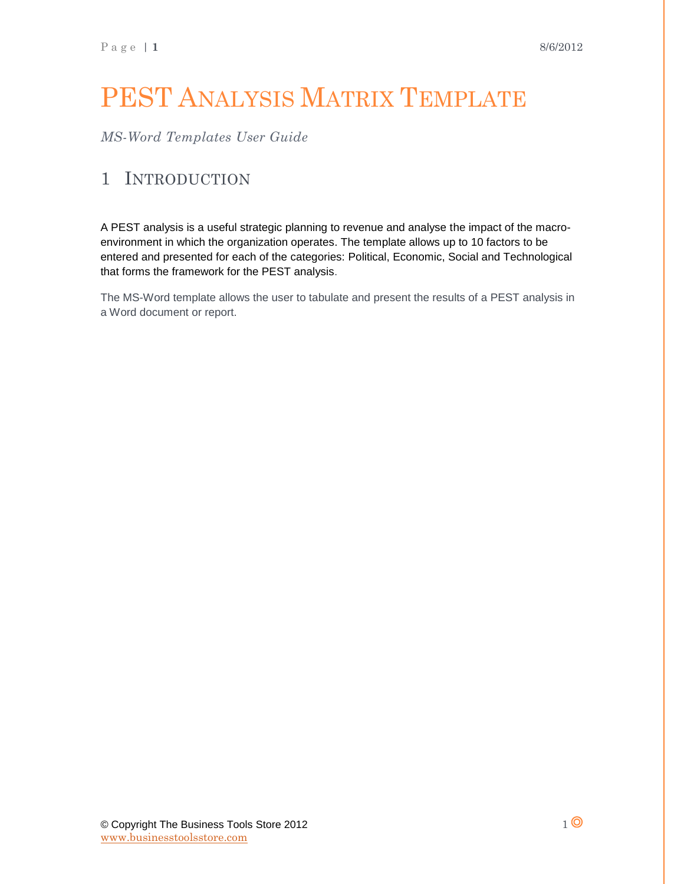# PEST ANALYSIS MATRIX TEMPLATE

*MS-Word Templates User Guide*

#### 1 INTRODUCTION

A PEST analysis is a useful strategic planning to revenue and analyse the impact of the macroenvironment in which the organization operates. The template allows up to 10 factors to be entered and presented for each of the categories: Political, Economic, Social and Technological that forms the framework for the PEST analysis.

The MS-Word template allows the user to tabulate and present the results of a PEST analysis in a Word document or report.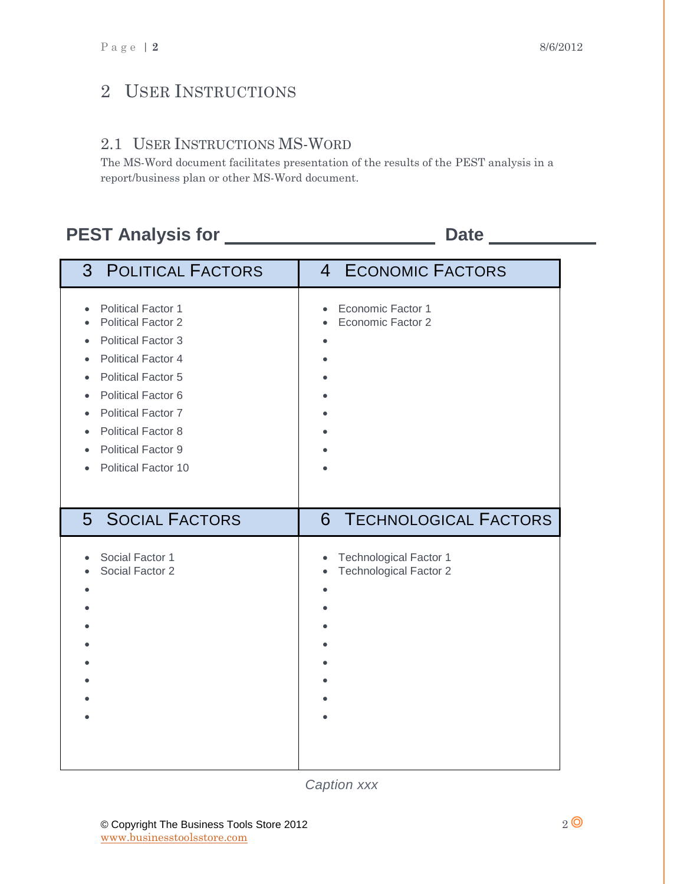#### 2 USER INSTRUCTIONS

#### 2.1 USER INSTRUCTIONS MS-WORD

The MS-Word document facilitates presentation of the results of the PEST analysis in a report/business plan or other MS-Word document.

### **PEST Analysis for Date**

| 3 <sup>1</sup><br><b>POLITICAL FACTORS</b>                                                                                                                                                                                                                                                            | 4 ECONOMIC FACTORS                                  |
|-------------------------------------------------------------------------------------------------------------------------------------------------------------------------------------------------------------------------------------------------------------------------------------------------------|-----------------------------------------------------|
| <b>Political Factor 1</b><br>$\bullet$<br><b>Political Factor 2</b><br><b>Political Factor 3</b><br><b>Political Factor 4</b><br><b>Political Factor 5</b><br><b>Political Factor 6</b><br><b>Political Factor 7</b><br><b>Political Factor 8</b><br><b>Political Factor 9</b><br>Political Factor 10 | Economic Factor 1<br>$\bullet$<br>Economic Factor 2 |
| <b>SOCIAL FACTORS</b>                                                                                                                                                                                                                                                                                 | <b>TECHNOLOGICAL FACTORS</b>                        |
| 5 <sup>5</sup>                                                                                                                                                                                                                                                                                        | 6                                                   |
| Social Factor 1                                                                                                                                                                                                                                                                                       | <b>Technological Factor 1</b>                       |
| Social Factor 2                                                                                                                                                                                                                                                                                       | <b>Technological Factor 2</b>                       |

*Caption xxx*